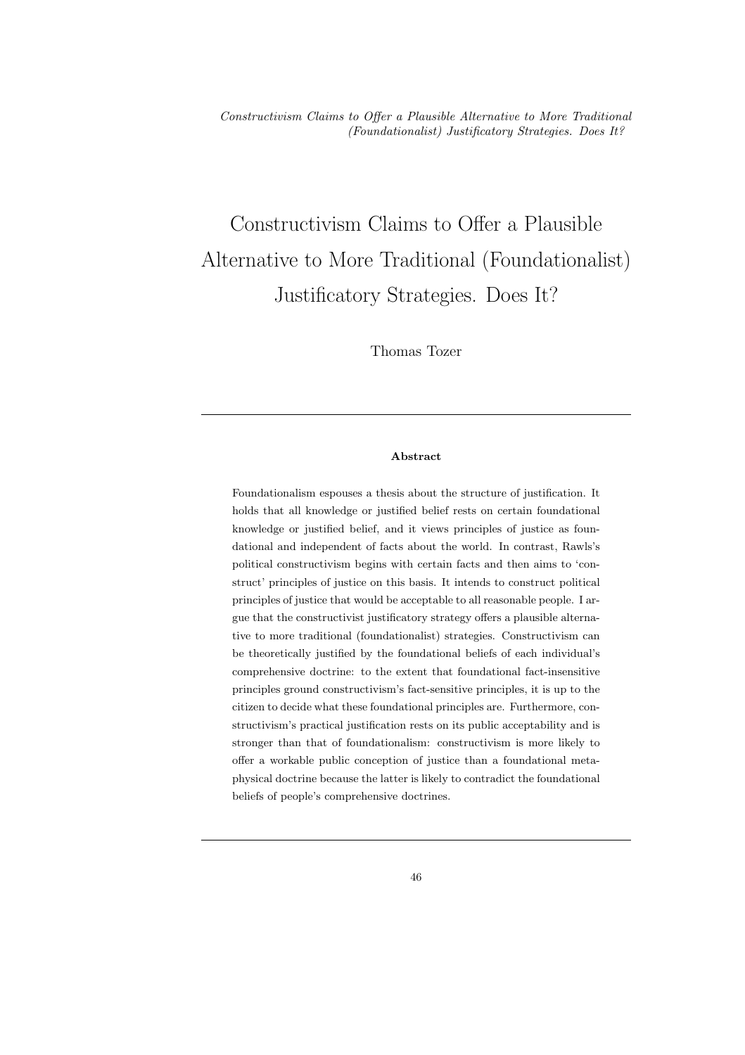# Constructivism Claims to Offer a Plausible Alternative to More Traditional (Foundationalist) Justificatory Strategies. Does It?

Thomas Tozer

#### Abstract

Foundationalism espouses a thesis about the structure of justification. It holds that all knowledge or justified belief rests on certain foundational knowledge or justified belief, and it views principles of justice as foundational and independent of facts about the world. In contrast, Rawls's political constructivism begins with certain facts and then aims to 'construct' principles of justice on this basis. It intends to construct political principles of justice that would be acceptable to all reasonable people. I argue that the constructivist justificatory strategy offers a plausible alternative to more traditional (foundationalist) strategies. Constructivism can be theoretically justified by the foundational beliefs of each individual's comprehensive doctrine: to the extent that foundational fact-insensitive principles ground constructivism's fact-sensitive principles, it is up to the citizen to decide what these foundational principles are. Furthermore, constructivism's practical justification rests on its public acceptability and is stronger than that of foundationalism: constructivism is more likely to offer a workable public conception of justice than a foundational metaphysical doctrine because the latter is likely to contradict the foundational beliefs of people's comprehensive doctrines.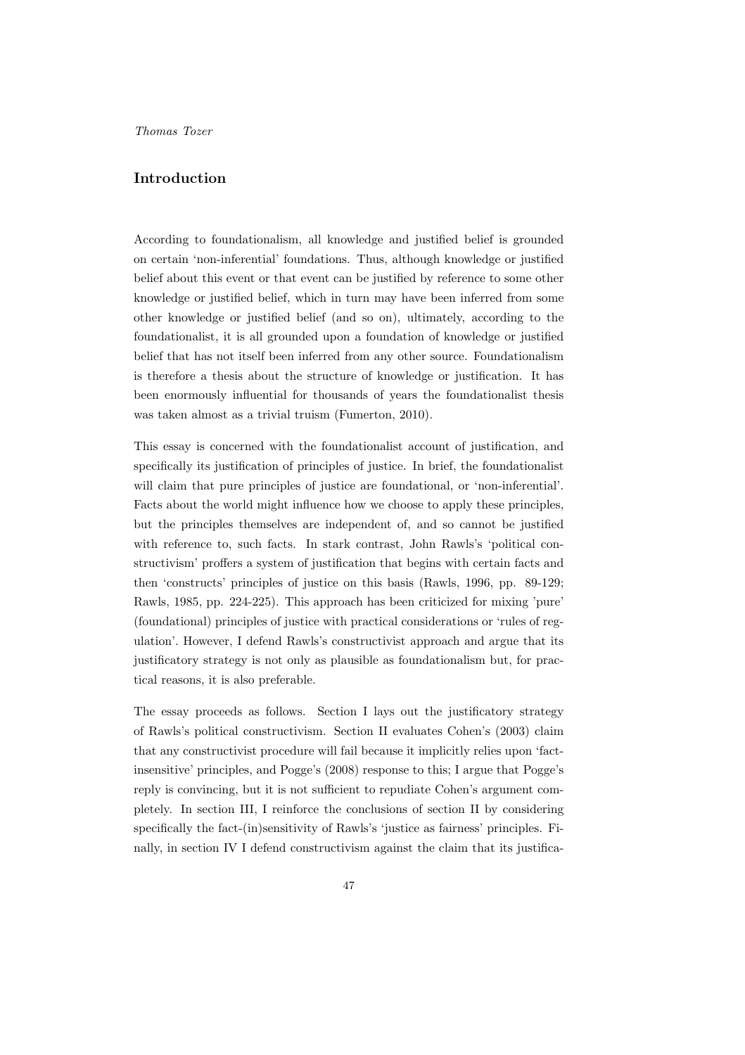#### Introduction

According to foundationalism, all knowledge and justified belief is grounded on certain 'non-inferential' foundations. Thus, although knowledge or justified belief about this event or that event can be justified by reference to some other knowledge or justified belief, which in turn may have been inferred from some other knowledge or justified belief (and so on), ultimately, according to the foundationalist, it is all grounded upon a foundation of knowledge or justified belief that has not itself been inferred from any other source. Foundationalism is therefore a thesis about the structure of knowledge or justification. It has been enormously influential for thousands of years the foundationalist thesis was taken almost as a trivial truism (Fumerton, 2010).

This essay is concerned with the foundationalist account of justification, and specifically its justification of principles of justice. In brief, the foundationalist will claim that pure principles of justice are foundational, or 'non-inferential'. Facts about the world might influence how we choose to apply these principles, but the principles themselves are independent of, and so cannot be justified with reference to, such facts. In stark contrast, John Rawls's 'political constructivism' proffers a system of justification that begins with certain facts and then 'constructs' principles of justice on this basis (Rawls, 1996, pp. 89-129; Rawls, 1985, pp. 224-225). This approach has been criticized for mixing 'pure' (foundational) principles of justice with practical considerations or 'rules of regulation'. However, I defend Rawls's constructivist approach and argue that its justificatory strategy is not only as plausible as foundationalism but, for practical reasons, it is also preferable.

The essay proceeds as follows. Section I lays out the justificatory strategy of Rawls's political constructivism. Section II evaluates Cohen's (2003) claim that any constructivist procedure will fail because it implicitly relies upon 'factinsensitive' principles, and Pogge's (2008) response to this; I argue that Pogge's reply is convincing, but it is not sufficient to repudiate Cohen's argument completely. In section III, I reinforce the conclusions of section II by considering specifically the fact-(in)sensitivity of Rawls's 'justice as fairness' principles. Finally, in section IV I defend constructivism against the claim that its justifica-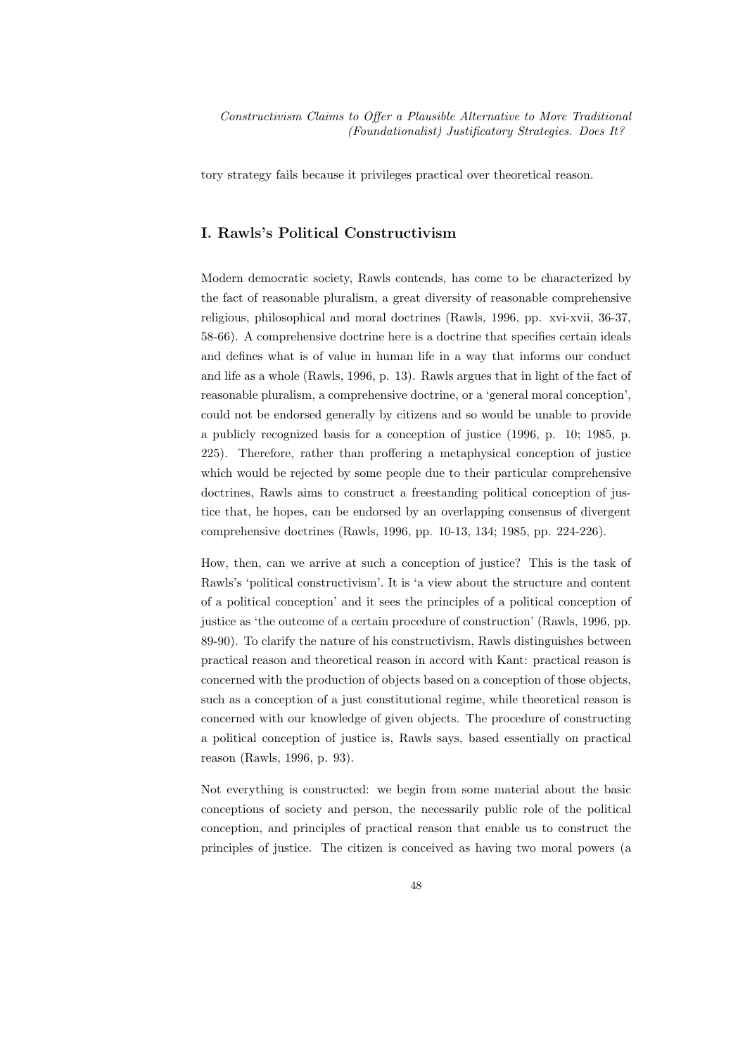tory strategy fails because it privileges practical over theoretical reason.

# I. Rawls's Political Constructivism

Modern democratic society, Rawls contends, has come to be characterized by the fact of reasonable pluralism, a great diversity of reasonable comprehensive religious, philosophical and moral doctrines (Rawls, 1996, pp. xvi-xvii, 36-37, 58-66). A comprehensive doctrine here is a doctrine that specifies certain ideals and defines what is of value in human life in a way that informs our conduct and life as a whole (Rawls, 1996, p. 13). Rawls argues that in light of the fact of reasonable pluralism, a comprehensive doctrine, or a 'general moral conception', could not be endorsed generally by citizens and so would be unable to provide a publicly recognized basis for a conception of justice (1996, p. 10; 1985, p. 225). Therefore, rather than proffering a metaphysical conception of justice which would be rejected by some people due to their particular comprehensive doctrines, Rawls aims to construct a freestanding political conception of justice that, he hopes, can be endorsed by an overlapping consensus of divergent comprehensive doctrines (Rawls, 1996, pp. 10-13, 134; 1985, pp. 224-226).

How, then, can we arrive at such a conception of justice? This is the task of Rawls's 'political constructivism'. It is 'a view about the structure and content of a political conception' and it sees the principles of a political conception of justice as 'the outcome of a certain procedure of construction' (Rawls, 1996, pp. 89-90). To clarify the nature of his constructivism, Rawls distinguishes between practical reason and theoretical reason in accord with Kant: practical reason is concerned with the production of objects based on a conception of those objects, such as a conception of a just constitutional regime, while theoretical reason is concerned with our knowledge of given objects. The procedure of constructing a political conception of justice is, Rawls says, based essentially on practical reason (Rawls, 1996, p. 93).

Not everything is constructed: we begin from some material about the basic conceptions of society and person, the necessarily public role of the political conception, and principles of practical reason that enable us to construct the principles of justice. The citizen is conceived as having two moral powers (a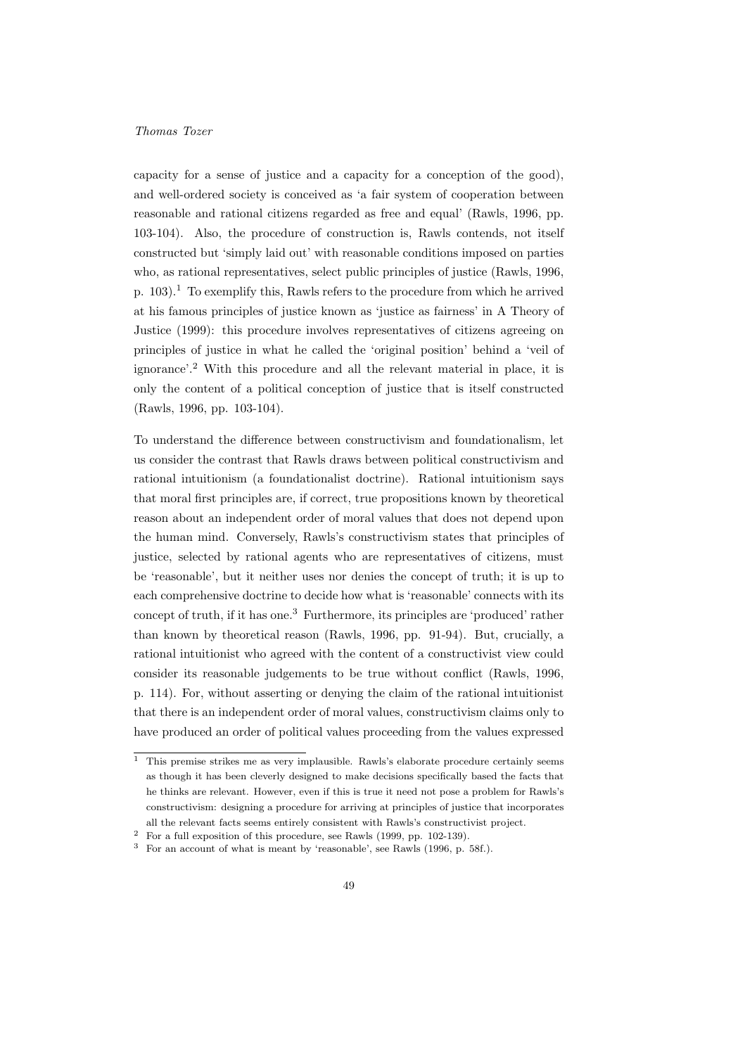capacity for a sense of justice and a capacity for a conception of the good), and well-ordered society is conceived as 'a fair system of cooperation between reasonable and rational citizens regarded as free and equal' (Rawls, 1996, pp. 103-104). Also, the procedure of construction is, Rawls contends, not itself constructed but 'simply laid out' with reasonable conditions imposed on parties who, as rational representatives, select public principles of justice (Rawls, 1996, p.  $103$ ).<sup>1</sup> To exemplify this, Rawls refers to the procedure from which he arrived at his famous principles of justice known as 'justice as fairness' in A Theory of Justice (1999): this procedure involves representatives of citizens agreeing on principles of justice in what he called the 'original position' behind a 'veil of ignorance'.<sup>2</sup> With this procedure and all the relevant material in place, it is only the content of a political conception of justice that is itself constructed (Rawls, 1996, pp. 103-104).

To understand the difference between constructivism and foundationalism, let us consider the contrast that Rawls draws between political constructivism and rational intuitionism (a foundationalist doctrine). Rational intuitionism says that moral first principles are, if correct, true propositions known by theoretical reason about an independent order of moral values that does not depend upon the human mind. Conversely, Rawls's constructivism states that principles of justice, selected by rational agents who are representatives of citizens, must be 'reasonable', but it neither uses nor denies the concept of truth; it is up to each comprehensive doctrine to decide how what is 'reasonable' connects with its concept of truth, if it has one.<sup>3</sup> Furthermore, its principles are 'produced' rather than known by theoretical reason (Rawls, 1996, pp. 91-94). But, crucially, a rational intuitionist who agreed with the content of a constructivist view could consider its reasonable judgements to be true without conflict (Rawls, 1996, p. 114). For, without asserting or denying the claim of the rational intuitionist that there is an independent order of moral values, constructivism claims only to have produced an order of political values proceeding from the values expressed

 $<sup>1</sup>$  This premise strikes me as very implausible. Rawls's elaborate procedure certainly seems</sup> as though it has been cleverly designed to make decisions specifically based the facts that he thinks are relevant. However, even if this is true it need not pose a problem for Rawls's constructivism: designing a procedure for arriving at principles of justice that incorporates all the relevant facts seems entirely consistent with Rawls's constructivist project.

 $^2\;$  For a full exposition of this procedure, see Rawls (1999, pp. 102-139).

<sup>3</sup> For an account of what is meant by 'reasonable', see Rawls (1996, p. 58f.).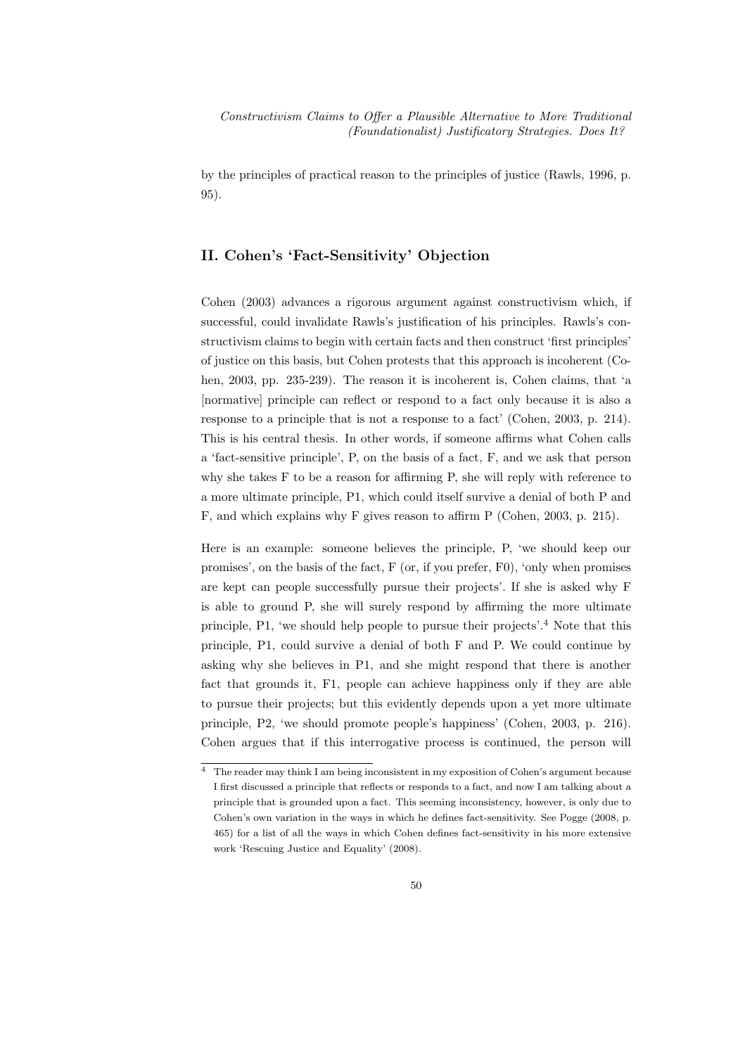by the principles of practical reason to the principles of justice (Rawls, 1996, p. 95).

# II. Cohen's 'Fact-Sensitivity' Objection

Cohen (2003) advances a rigorous argument against constructivism which, if successful, could invalidate Rawls's justification of his principles. Rawls's constructivism claims to begin with certain facts and then construct 'first principles' of justice on this basis, but Cohen protests that this approach is incoherent (Cohen, 2003, pp. 235-239). The reason it is incoherent is, Cohen claims, that 'a [normative] principle can reflect or respond to a fact only because it is also a response to a principle that is not a response to a fact' (Cohen, 2003, p. 214). This is his central thesis. In other words, if someone affirms what Cohen calls a 'fact-sensitive principle', P, on the basis of a fact, F, and we ask that person why she takes F to be a reason for affirming P, she will reply with reference to a more ultimate principle, P1, which could itself survive a denial of both P and F, and which explains why F gives reason to affirm P (Cohen, 2003, p. 215).

Here is an example: someone believes the principle, P, 'we should keep our promises', on the basis of the fact, F (or, if you prefer, F0), 'only when promises are kept can people successfully pursue their projects'. If she is asked why F is able to ground P, she will surely respond by affirming the more ultimate principle, P1, 'we should help people to pursue their projects'.<sup>4</sup> Note that this principle, P1, could survive a denial of both F and P. We could continue by asking why she believes in P1, and she might respond that there is another fact that grounds it, F1, people can achieve happiness only if they are able to pursue their projects; but this evidently depends upon a yet more ultimate principle, P2, 'we should promote people's happiness' (Cohen, 2003, p. 216). Cohen argues that if this interrogative process is continued, the person will

 $\frac{4}{4}$  The reader may think I am being inconsistent in my exposition of Cohen's argument because I first discussed a principle that reflects or responds to a fact, and now I am talking about a principle that is grounded upon a fact. This seeming inconsistency, however, is only due to Cohen's own variation in the ways in which he defines fact-sensitivity. See Pogge (2008, p. 465) for a list of all the ways in which Cohen defines fact-sensitivity in his more extensive work 'Rescuing Justice and Equality' (2008).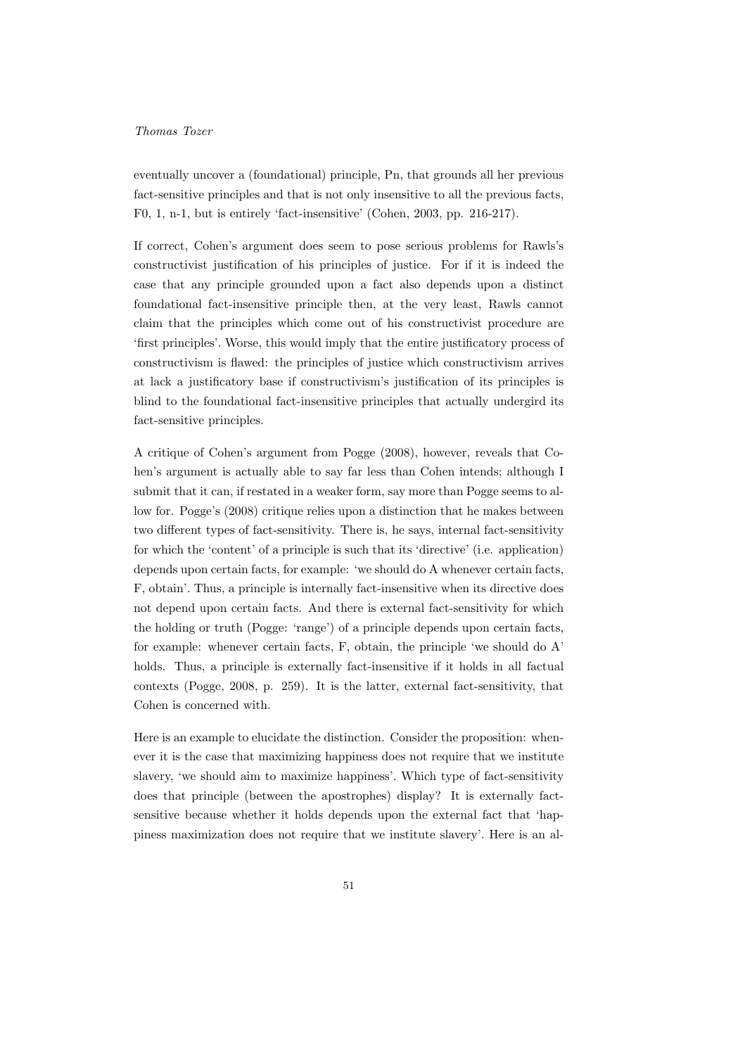eventually uncover a (foundational) principle, Pn, that grounds all her previous fact-sensitive principles and that is not only insensitive to all the previous facts, F0, 1, n-1, but is entirely 'fact-insensitive' (Cohen, 2003, pp. 216-217).

If correct, Cohen's argument does seem to pose serious problems for Rawls's constructivist justification of his principles of justice. For if it is indeed the case that any principle grounded upon a fact also depends upon a distinct foundational fact-insensitive principle then, at the very least, Rawls cannot claim that the principles which come out of his constructivist procedure are 'first principles'. Worse, this would imply that the entire justificatory process of constructivism is flawed: the principles of justice which constructivism arrives at lack a justificatory base if constructivism's justification of its principles is blind to the foundational fact-insensitive principles that actually undergird its fact-sensitive principles.

A critique of Cohen's argument from Pogge (2008), however, reveals that Cohen's argument is actually able to say far less than Cohen intends; although I submit that it can, if restated in a weaker form, say more than Pogge seems to allow for. Pogge's (2008) critique relies upon a distinction that he makes between two different types of fact-sensitivity. There is, he says, internal fact-sensitivity for which the 'content' of a principle is such that its 'directive' (i.e. application) depends upon certain facts, for example: 'we should do A whenever certain facts, F, obtain'. Thus, a principle is internally fact-insensitive when its directive does not depend upon certain facts. And there is external fact-sensitivity for which the holding or truth (Pogge: 'range') of a principle depends upon certain facts, for example: whenever certain facts, F, obtain, the principle 'we should do A' holds. Thus, a principle is externally fact-insensitive if it holds in all factual contexts (Pogge, 2008, p. 259). It is the latter, external fact-sensitivity, that Cohen is concerned with.

Here is an example to elucidate the distinction. Consider the proposition: whenever it is the case that maximizing happiness does not require that we institute slavery, 'we should aim to maximize happiness'. Which type of fact-sensitivity does that principle (between the apostrophes) display? It is externally factsensitive because whether it holds depends upon the external fact that 'happiness maximization does not require that we institute slavery'. Here is an al-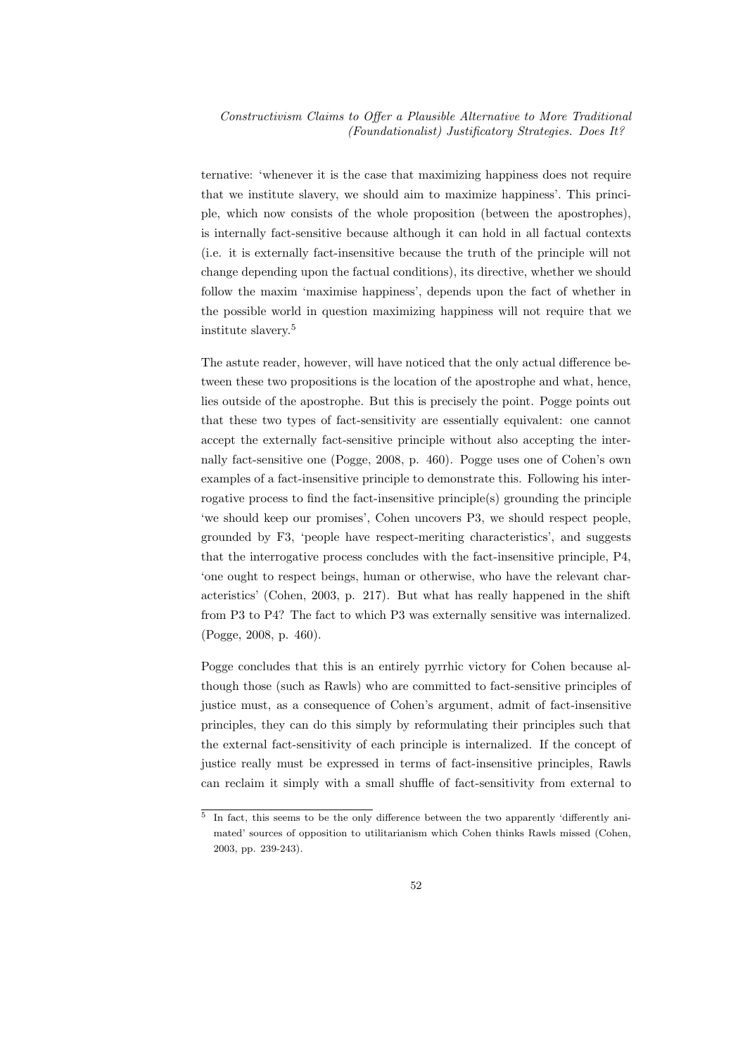ternative: 'whenever it is the case that maximizing happiness does not require that we institute slavery, we should aim to maximize happiness'. This principle, which now consists of the whole proposition (between the apostrophes), is internally fact-sensitive because although it can hold in all factual contexts (i.e. it is externally fact-insensitive because the truth of the principle will not change depending upon the factual conditions), its directive, whether we should follow the maxim 'maximise happiness', depends upon the fact of whether in the possible world in question maximizing happiness will not require that we institute slavery.<sup>5</sup>

The astute reader, however, will have noticed that the only actual difference between these two propositions is the location of the apostrophe and what, hence, lies outside of the apostrophe. But this is precisely the point. Pogge points out that these two types of fact-sensitivity are essentially equivalent: one cannot accept the externally fact-sensitive principle without also accepting the internally fact-sensitive one (Pogge, 2008, p. 460). Pogge uses one of Cohen's own examples of a fact-insensitive principle to demonstrate this. Following his interrogative process to find the fact-insensitive principle(s) grounding the principle 'we should keep our promises', Cohen uncovers P3, we should respect people, grounded by F3, 'people have respect-meriting characteristics', and suggests that the interrogative process concludes with the fact-insensitive principle, P4, 'one ought to respect beings, human or otherwise, who have the relevant characteristics' (Cohen, 2003, p. 217). But what has really happened in the shift from P3 to P4? The fact to which P3 was externally sensitive was internalized. (Pogge, 2008, p. 460).

Pogge concludes that this is an entirely pyrrhic victory for Cohen because although those (such as Rawls) who are committed to fact-sensitive principles of justice must, as a consequence of Cohen's argument, admit of fact-insensitive principles, they can do this simply by reformulating their principles such that the external fact-sensitivity of each principle is internalized. If the concept of justice really must be expressed in terms of fact-insensitive principles, Rawls can reclaim it simply with a small shuffle of fact-sensitivity from external to

<sup>&</sup>lt;sup>5</sup> In fact, this seems to be the only difference between the two apparently 'differently animated' sources of opposition to utilitarianism which Cohen thinks Rawls missed (Cohen, 2003, pp. 239-243).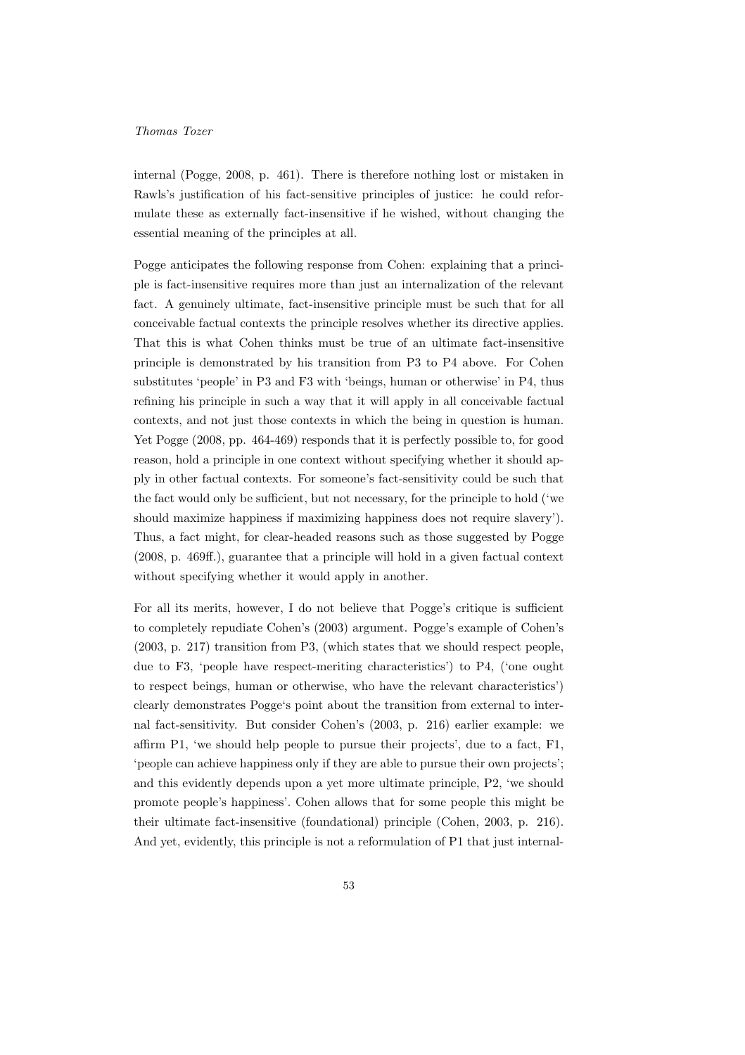internal (Pogge, 2008, p. 461). There is therefore nothing lost or mistaken in Rawls's justification of his fact-sensitive principles of justice: he could reformulate these as externally fact-insensitive if he wished, without changing the essential meaning of the principles at all.

Pogge anticipates the following response from Cohen: explaining that a principle is fact-insensitive requires more than just an internalization of the relevant fact. A genuinely ultimate, fact-insensitive principle must be such that for all conceivable factual contexts the principle resolves whether its directive applies. That this is what Cohen thinks must be true of an ultimate fact-insensitive principle is demonstrated by his transition from P3 to P4 above. For Cohen substitutes 'people' in P3 and F3 with 'beings, human or otherwise' in P4, thus refining his principle in such a way that it will apply in all conceivable factual contexts, and not just those contexts in which the being in question is human. Yet Pogge (2008, pp. 464-469) responds that it is perfectly possible to, for good reason, hold a principle in one context without specifying whether it should apply in other factual contexts. For someone's fact-sensitivity could be such that the fact would only be sufficient, but not necessary, for the principle to hold ('we should maximize happiness if maximizing happiness does not require slavery'). Thus, a fact might, for clear-headed reasons such as those suggested by Pogge (2008, p. 469ff.), guarantee that a principle will hold in a given factual context without specifying whether it would apply in another.

For all its merits, however, I do not believe that Pogge's critique is sufficient to completely repudiate Cohen's (2003) argument. Pogge's example of Cohen's (2003, p. 217) transition from P3, (which states that we should respect people, due to F3, 'people have respect-meriting characteristics') to P4, ('one ought to respect beings, human or otherwise, who have the relevant characteristics') clearly demonstrates Pogge's point about the transition from external to internal fact-sensitivity. But consider Cohen's (2003, p. 216) earlier example: we affirm P1, 'we should help people to pursue their projects', due to a fact, F1, 'people can achieve happiness only if they are able to pursue their own projects'; and this evidently depends upon a yet more ultimate principle, P2, 'we should promote people's happiness'. Cohen allows that for some people this might be their ultimate fact-insensitive (foundational) principle (Cohen, 2003, p. 216). And yet, evidently, this principle is not a reformulation of P1 that just internal-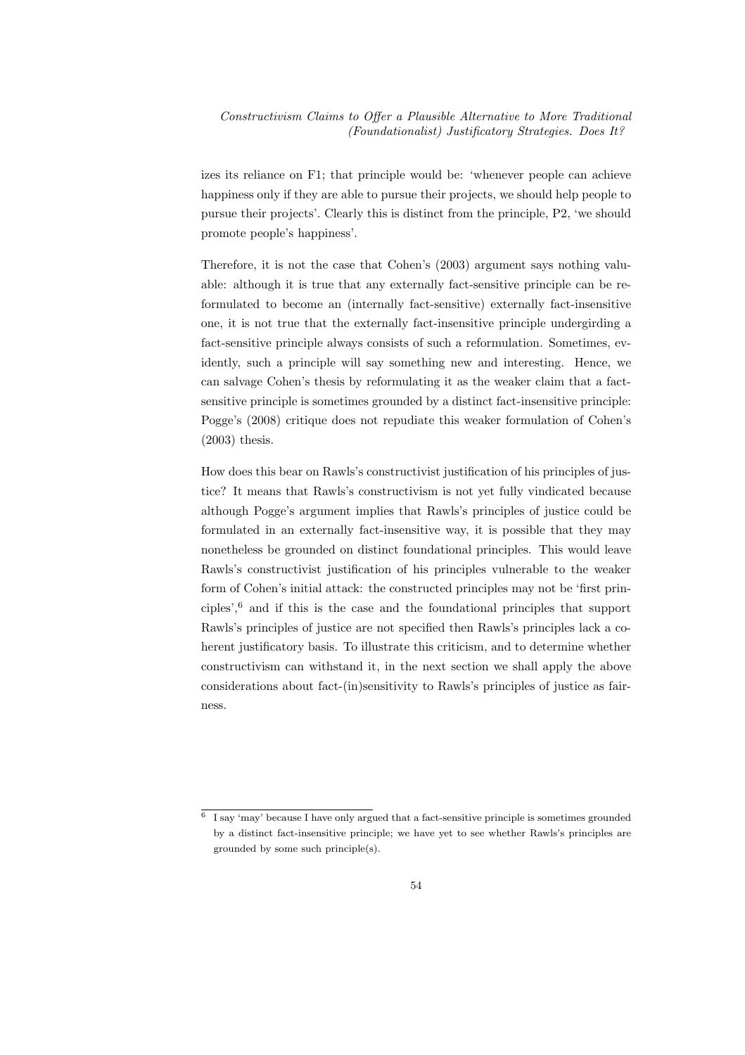izes its reliance on F1; that principle would be: 'whenever people can achieve happiness only if they are able to pursue their projects, we should help people to pursue their projects'. Clearly this is distinct from the principle, P2, 'we should promote people's happiness'.

Therefore, it is not the case that Cohen's (2003) argument says nothing valuable: although it is true that any externally fact-sensitive principle can be reformulated to become an (internally fact-sensitive) externally fact-insensitive one, it is not true that the externally fact-insensitive principle undergirding a fact-sensitive principle always consists of such a reformulation. Sometimes, evidently, such a principle will say something new and interesting. Hence, we can salvage Cohen's thesis by reformulating it as the weaker claim that a factsensitive principle is sometimes grounded by a distinct fact-insensitive principle: Pogge's (2008) critique does not repudiate this weaker formulation of Cohen's (2003) thesis.

How does this bear on Rawls's constructivist justification of his principles of justice? It means that Rawls's constructivism is not yet fully vindicated because although Pogge's argument implies that Rawls's principles of justice could be formulated in an externally fact-insensitive way, it is possible that they may nonetheless be grounded on distinct foundational principles. This would leave Rawls's constructivist justification of his principles vulnerable to the weaker form of Cohen's initial attack: the constructed principles may not be 'first principles',<sup>6</sup> and if this is the case and the foundational principles that support Rawls's principles of justice are not specified then Rawls's principles lack a coherent justificatory basis. To illustrate this criticism, and to determine whether constructivism can withstand it, in the next section we shall apply the above considerations about fact-(in)sensitivity to Rawls's principles of justice as fairness.

<sup>6</sup> I say 'may' because I have only argued that a fact-sensitive principle is sometimes grounded by a distinct fact-insensitive principle; we have yet to see whether Rawls's principles are grounded by some such principle(s).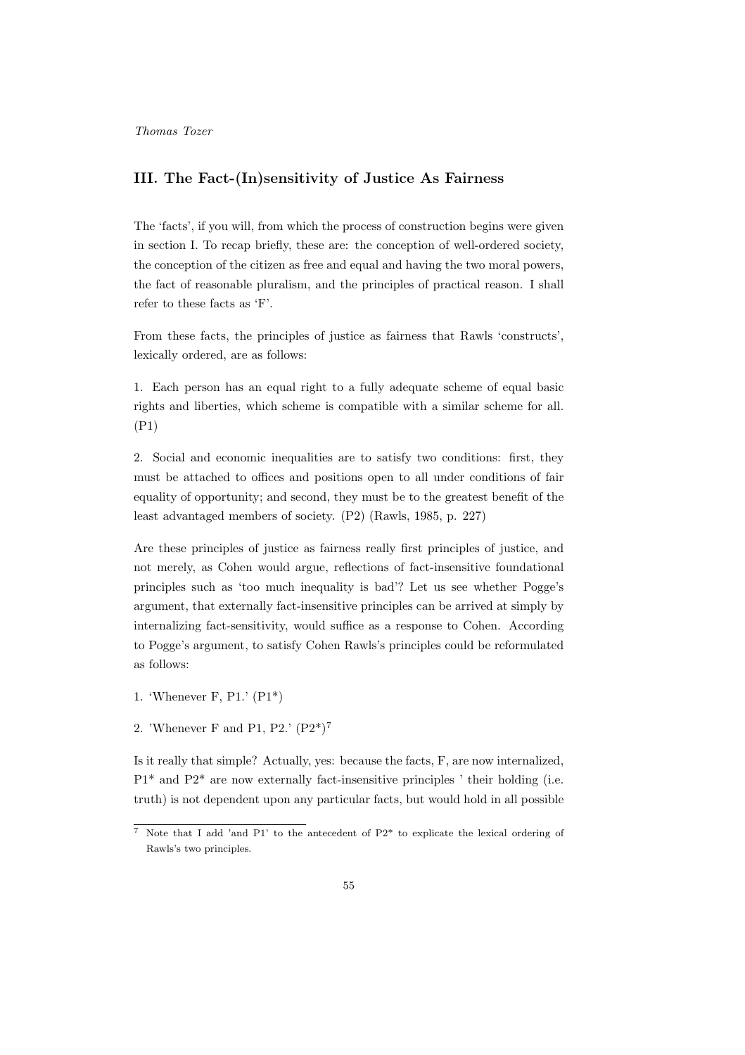## III. The Fact-(In)sensitivity of Justice As Fairness

The 'facts', if you will, from which the process of construction begins were given in section I. To recap briefly, these are: the conception of well-ordered society, the conception of the citizen as free and equal and having the two moral powers, the fact of reasonable pluralism, and the principles of practical reason. I shall refer to these facts as 'F'.

From these facts, the principles of justice as fairness that Rawls 'constructs', lexically ordered, are as follows:

1. Each person has an equal right to a fully adequate scheme of equal basic rights and liberties, which scheme is compatible with a similar scheme for all. (P1)

2. Social and economic inequalities are to satisfy two conditions: first, they must be attached to offices and positions open to all under conditions of fair equality of opportunity; and second, they must be to the greatest benefit of the least advantaged members of society. (P2) (Rawls, 1985, p. 227)

Are these principles of justice as fairness really first principles of justice, and not merely, as Cohen would argue, reflections of fact-insensitive foundational principles such as 'too much inequality is bad'? Let us see whether Pogge's argument, that externally fact-insensitive principles can be arrived at simply by internalizing fact-sensitivity, would suffice as a response to Cohen. According to Pogge's argument, to satisfy Cohen Rawls's principles could be reformulated as follows:

- 1. 'Whenever F, P1.' (P1\*)
- 2. 'Whenever F and P1, P2.' (P2\*)<sup>7</sup>

Is it really that simple? Actually, yes: because the facts, F, are now internalized, P1\* and P2\* are now externally fact-insensitive principles ' their holding (i.e. truth) is not dependent upon any particular facts, but would hold in all possible

<sup>7</sup> Note that I add 'and P1' to the antecedent of P2\* to explicate the lexical ordering of Rawls's two principles.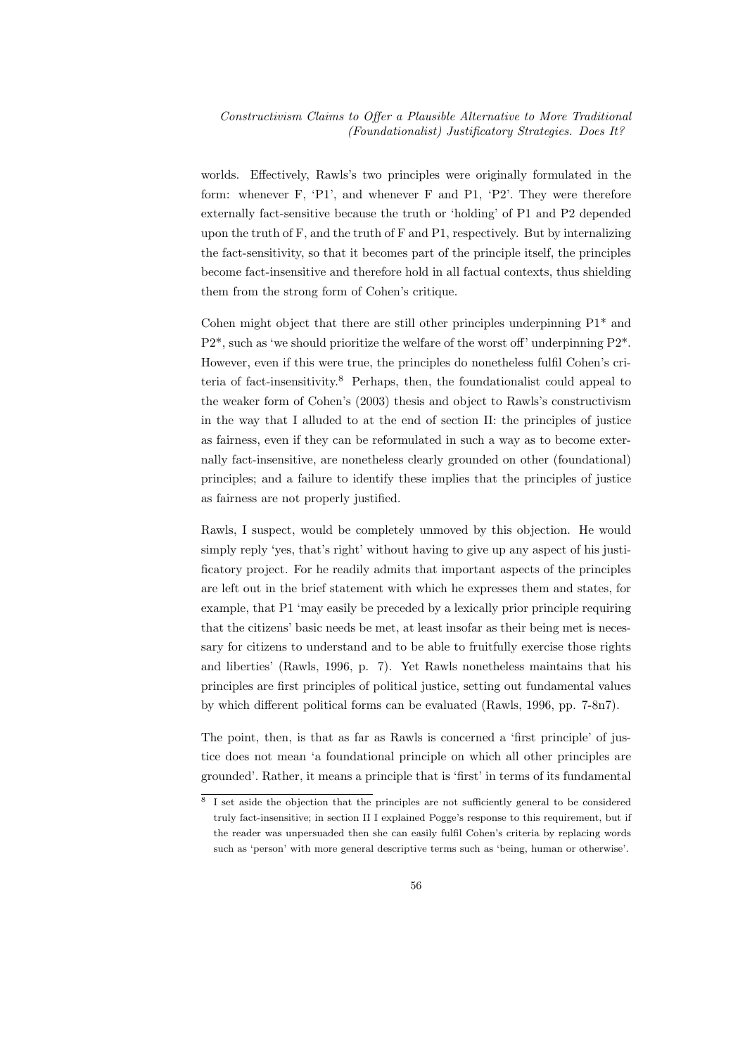worlds. Effectively, Rawls's two principles were originally formulated in the form: whenever F, 'P1', and whenever F and P1, 'P2'. They were therefore externally fact-sensitive because the truth or 'holding' of P1 and P2 depended upon the truth of F, and the truth of F and P1, respectively. But by internalizing the fact-sensitivity, so that it becomes part of the principle itself, the principles become fact-insensitive and therefore hold in all factual contexts, thus shielding them from the strong form of Cohen's critique.

Cohen might object that there are still other principles underpinning P1\* and P2\*, such as 'we should prioritize the welfare of the worst off' underpinning P2\*. However, even if this were true, the principles do nonetheless fulfil Cohen's criteria of fact-insensitivity.<sup>8</sup> Perhaps, then, the foundationalist could appeal to the weaker form of Cohen's (2003) thesis and object to Rawls's constructivism in the way that I alluded to at the end of section II: the principles of justice as fairness, even if they can be reformulated in such a way as to become externally fact-insensitive, are nonetheless clearly grounded on other (foundational) principles; and a failure to identify these implies that the principles of justice as fairness are not properly justified.

Rawls, I suspect, would be completely unmoved by this objection. He would simply reply 'yes, that's right' without having to give up any aspect of his justificatory project. For he readily admits that important aspects of the principles are left out in the brief statement with which he expresses them and states, for example, that P1 'may easily be preceded by a lexically prior principle requiring that the citizens' basic needs be met, at least insofar as their being met is necessary for citizens to understand and to be able to fruitfully exercise those rights and liberties' (Rawls, 1996, p. 7). Yet Rawls nonetheless maintains that his principles are first principles of political justice, setting out fundamental values by which different political forms can be evaluated (Rawls, 1996, pp. 7-8n7).

The point, then, is that as far as Rawls is concerned a 'first principle' of justice does not mean 'a foundational principle on which all other principles are grounded'. Rather, it means a principle that is 'first' in terms of its fundamental

<sup>8</sup> I set aside the objection that the principles are not sufficiently general to be considered truly fact-insensitive; in section II I explained Pogge's response to this requirement, but if the reader was unpersuaded then she can easily fulfil Cohen's criteria by replacing words such as 'person' with more general descriptive terms such as 'being, human or otherwise'.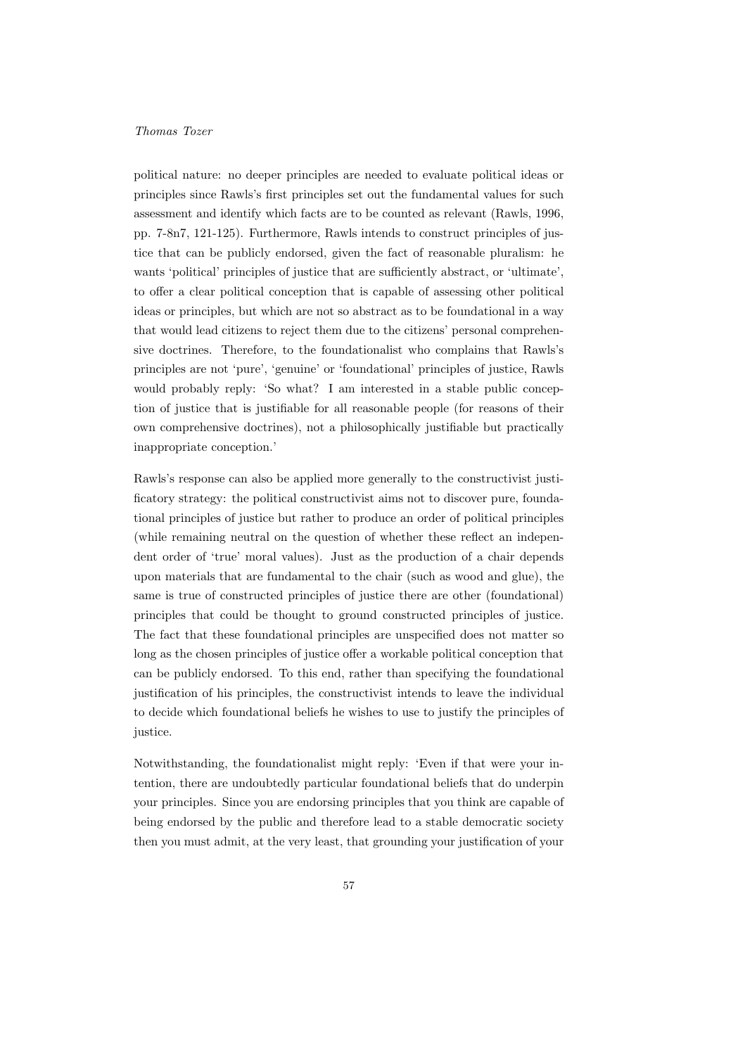political nature: no deeper principles are needed to evaluate political ideas or principles since Rawls's first principles set out the fundamental values for such assessment and identify which facts are to be counted as relevant (Rawls, 1996, pp. 7-8n7, 121-125). Furthermore, Rawls intends to construct principles of justice that can be publicly endorsed, given the fact of reasonable pluralism: he wants 'political' principles of justice that are sufficiently abstract, or 'ultimate', to offer a clear political conception that is capable of assessing other political ideas or principles, but which are not so abstract as to be foundational in a way that would lead citizens to reject them due to the citizens' personal comprehensive doctrines. Therefore, to the foundationalist who complains that Rawls's principles are not 'pure', 'genuine' or 'foundational' principles of justice, Rawls would probably reply: 'So what? I am interested in a stable public conception of justice that is justifiable for all reasonable people (for reasons of their own comprehensive doctrines), not a philosophically justifiable but practically inappropriate conception.'

Rawls's response can also be applied more generally to the constructivist justificatory strategy: the political constructivist aims not to discover pure, foundational principles of justice but rather to produce an order of political principles (while remaining neutral on the question of whether these reflect an independent order of 'true' moral values). Just as the production of a chair depends upon materials that are fundamental to the chair (such as wood and glue), the same is true of constructed principles of justice there are other (foundational) principles that could be thought to ground constructed principles of justice. The fact that these foundational principles are unspecified does not matter so long as the chosen principles of justice offer a workable political conception that can be publicly endorsed. To this end, rather than specifying the foundational justification of his principles, the constructivist intends to leave the individual to decide which foundational beliefs he wishes to use to justify the principles of justice.

Notwithstanding, the foundationalist might reply: 'Even if that were your intention, there are undoubtedly particular foundational beliefs that do underpin your principles. Since you are endorsing principles that you think are capable of being endorsed by the public and therefore lead to a stable democratic society then you must admit, at the very least, that grounding your justification of your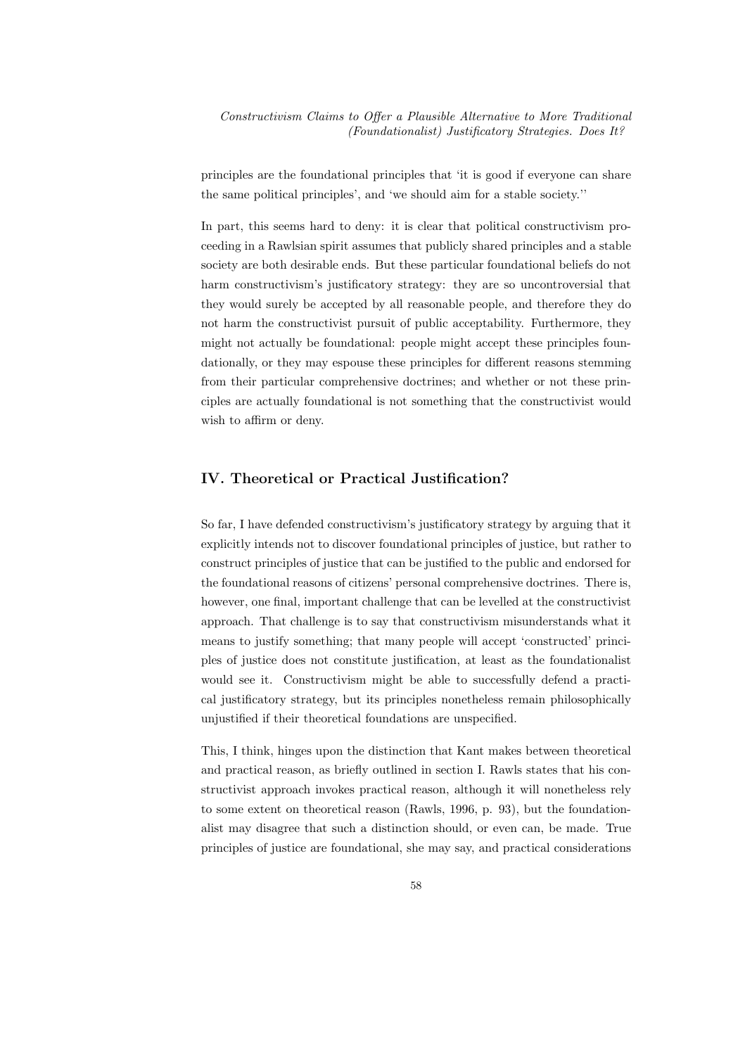principles are the foundational principles that 'it is good if everyone can share the same political principles', and 'we should aim for a stable society.''

In part, this seems hard to deny: it is clear that political constructivism proceeding in a Rawlsian spirit assumes that publicly shared principles and a stable society are both desirable ends. But these particular foundational beliefs do not harm constructivism's justificatory strategy: they are so uncontroversial that they would surely be accepted by all reasonable people, and therefore they do not harm the constructivist pursuit of public acceptability. Furthermore, they might not actually be foundational: people might accept these principles foundationally, or they may espouse these principles for different reasons stemming from their particular comprehensive doctrines; and whether or not these principles are actually foundational is not something that the constructivist would wish to affirm or deny.

## IV. Theoretical or Practical Justification?

So far, I have defended constructivism's justificatory strategy by arguing that it explicitly intends not to discover foundational principles of justice, but rather to construct principles of justice that can be justified to the public and endorsed for the foundational reasons of citizens' personal comprehensive doctrines. There is, however, one final, important challenge that can be levelled at the constructivist approach. That challenge is to say that constructivism misunderstands what it means to justify something; that many people will accept 'constructed' principles of justice does not constitute justification, at least as the foundationalist would see it. Constructivism might be able to successfully defend a practical justificatory strategy, but its principles nonetheless remain philosophically unjustified if their theoretical foundations are unspecified.

This, I think, hinges upon the distinction that Kant makes between theoretical and practical reason, as briefly outlined in section I. Rawls states that his constructivist approach invokes practical reason, although it will nonetheless rely to some extent on theoretical reason (Rawls, 1996, p. 93), but the foundationalist may disagree that such a distinction should, or even can, be made. True principles of justice are foundational, she may say, and practical considerations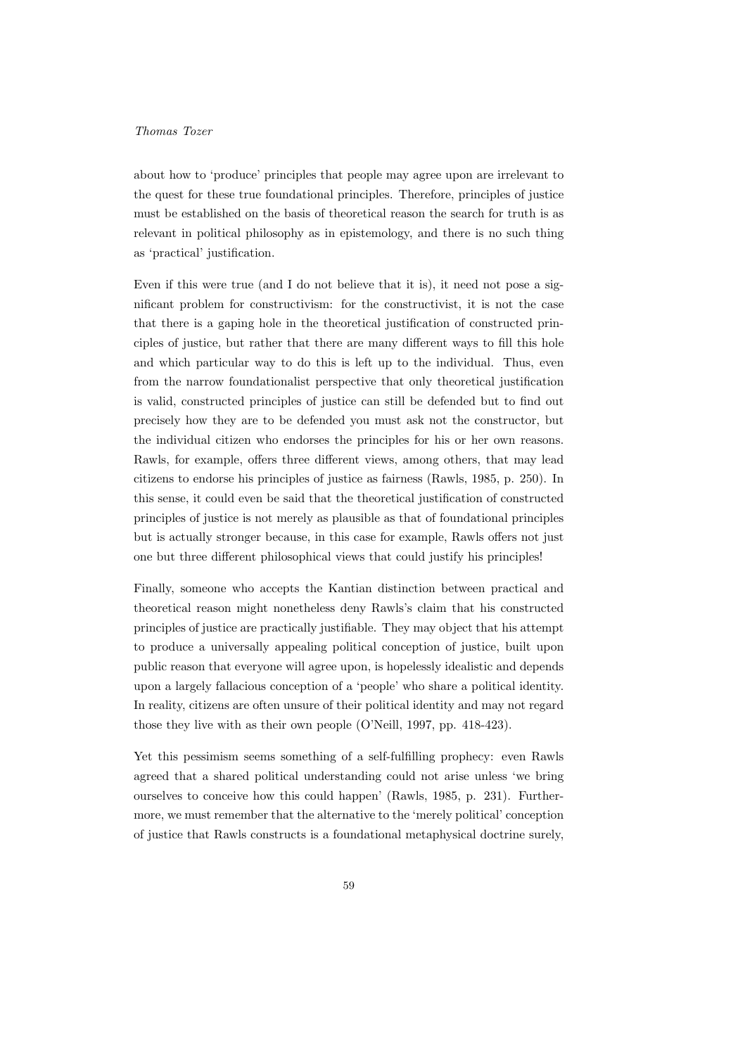about how to 'produce' principles that people may agree upon are irrelevant to the quest for these true foundational principles. Therefore, principles of justice must be established on the basis of theoretical reason the search for truth is as relevant in political philosophy as in epistemology, and there is no such thing as 'practical' justification.

Even if this were true (and I do not believe that it is), it need not pose a significant problem for constructivism: for the constructivist, it is not the case that there is a gaping hole in the theoretical justification of constructed principles of justice, but rather that there are many different ways to fill this hole and which particular way to do this is left up to the individual. Thus, even from the narrow foundationalist perspective that only theoretical justification is valid, constructed principles of justice can still be defended but to find out precisely how they are to be defended you must ask not the constructor, but the individual citizen who endorses the principles for his or her own reasons. Rawls, for example, offers three different views, among others, that may lead citizens to endorse his principles of justice as fairness (Rawls, 1985, p. 250). In this sense, it could even be said that the theoretical justification of constructed principles of justice is not merely as plausible as that of foundational principles but is actually stronger because, in this case for example, Rawls offers not just one but three different philosophical views that could justify his principles!

Finally, someone who accepts the Kantian distinction between practical and theoretical reason might nonetheless deny Rawls's claim that his constructed principles of justice are practically justifiable. They may object that his attempt to produce a universally appealing political conception of justice, built upon public reason that everyone will agree upon, is hopelessly idealistic and depends upon a largely fallacious conception of a 'people' who share a political identity. In reality, citizens are often unsure of their political identity and may not regard those they live with as their own people (O'Neill, 1997, pp. 418-423).

Yet this pessimism seems something of a self-fulfilling prophecy: even Rawls agreed that a shared political understanding could not arise unless 'we bring ourselves to conceive how this could happen' (Rawls, 1985, p. 231). Furthermore, we must remember that the alternative to the 'merely political' conception of justice that Rawls constructs is a foundational metaphysical doctrine surely,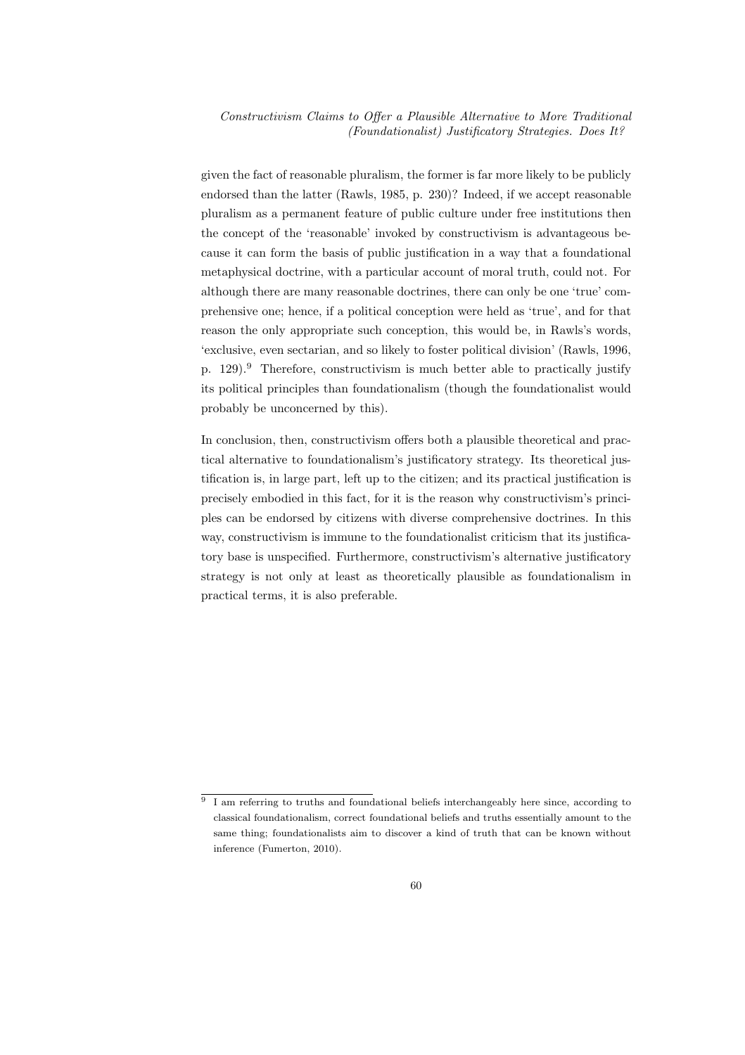given the fact of reasonable pluralism, the former is far more likely to be publicly endorsed than the latter (Rawls, 1985, p. 230)? Indeed, if we accept reasonable pluralism as a permanent feature of public culture under free institutions then the concept of the 'reasonable' invoked by constructivism is advantageous because it can form the basis of public justification in a way that a foundational metaphysical doctrine, with a particular account of moral truth, could not. For although there are many reasonable doctrines, there can only be one 'true' comprehensive one; hence, if a political conception were held as 'true', and for that reason the only appropriate such conception, this would be, in Rawls's words, 'exclusive, even sectarian, and so likely to foster political division' (Rawls, 1996, p.  $129$ ).<sup>9</sup> Therefore, constructivism is much better able to practically justify its political principles than foundationalism (though the foundationalist would probably be unconcerned by this).

In conclusion, then, constructivism offers both a plausible theoretical and practical alternative to foundationalism's justificatory strategy. Its theoretical justification is, in large part, left up to the citizen; and its practical justification is precisely embodied in this fact, for it is the reason why constructivism's principles can be endorsed by citizens with diverse comprehensive doctrines. In this way, constructivism is immune to the foundationalist criticism that its justificatory base is unspecified. Furthermore, constructivism's alternative justificatory strategy is not only at least as theoretically plausible as foundationalism in practical terms, it is also preferable.

<sup>9</sup> I am referring to truths and foundational beliefs interchangeably here since, according to classical foundationalism, correct foundational beliefs and truths essentially amount to the same thing; foundationalists aim to discover a kind of truth that can be known without inference (Fumerton, 2010).